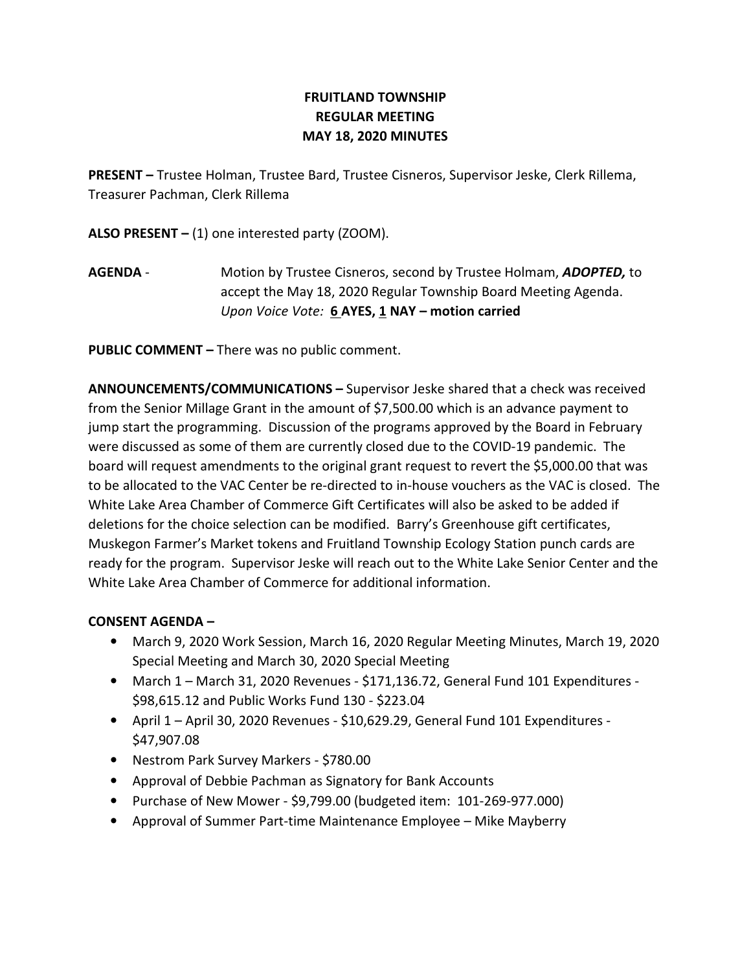# FRUITLAND TOWNSHIP REGULAR MEETING MAY 18, 2020 MINUTES

PRESENT – Trustee Holman, Trustee Bard, Trustee Cisneros, Supervisor Jeske, Clerk Rillema, Treasurer Pachman, Clerk Rillema

ALSO PRESENT  $-$  (1) one interested party (ZOOM).

AGENDA - Motion by Trustee Cisneros, second by Trustee Holmam, ADOPTED, to accept the May 18, 2020 Regular Township Board Meeting Agenda. Upon Voice Vote: 6 AYES, 1 NAY – motion carried

PUBLIC COMMENT – There was no public comment.

ANNOUNCEMENTS/COMMUNICATIONS – Supervisor Jeske shared that a check was received from the Senior Millage Grant in the amount of \$7,500.00 which is an advance payment to jump start the programming. Discussion of the programs approved by the Board in February were discussed as some of them are currently closed due to the COVID-19 pandemic. The board will request amendments to the original grant request to revert the \$5,000.00 that was to be allocated to the VAC Center be re-directed to in-house vouchers as the VAC is closed. The White Lake Area Chamber of Commerce Gift Certificates will also be asked to be added if deletions for the choice selection can be modified. Barry's Greenhouse gift certificates, Muskegon Farmer's Market tokens and Fruitland Township Ecology Station punch cards are ready for the program. Supervisor Jeske will reach out to the White Lake Senior Center and the White Lake Area Chamber of Commerce for additional information.

## CONSENT AGENDA –

- March 9, 2020 Work Session, March 16, 2020 Regular Meeting Minutes, March 19, 2020 Special Meeting and March 30, 2020 Special Meeting
- March 1 March 31, 2020 Revenues \$171,136.72, General Fund 101 Expenditures \$98,615.12 and Public Works Fund 130 - \$223.04
- April 1 April 30, 2020 Revenues \$10,629.29, General Fund 101 Expenditures \$47,907.08
- Nestrom Park Survey Markers \$780.00
- Approval of Debbie Pachman as Signatory for Bank Accounts
- Purchase of New Mower \$9,799.00 (budgeted item: 101-269-977.000)
- Approval of Summer Part-time Maintenance Employee Mike Mayberry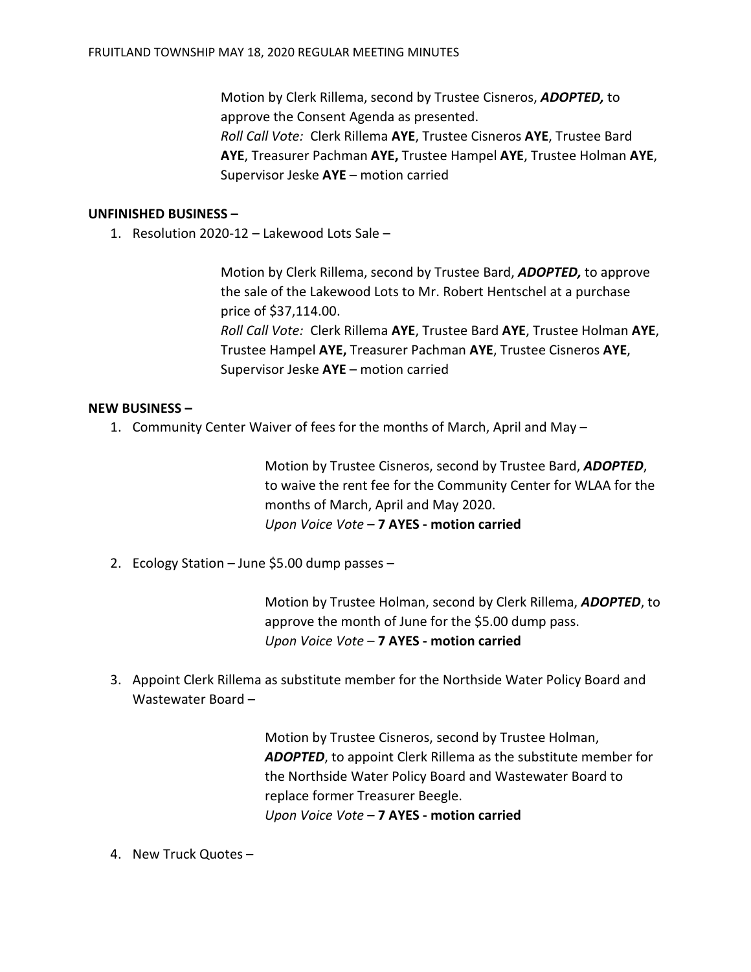Motion by Clerk Rillema, second by Trustee Cisneros, ADOPTED, to approve the Consent Agenda as presented. Roll Call Vote: Clerk Rillema AYE, Trustee Cisneros AYE, Trustee Bard AYE, Treasurer Pachman AYE, Trustee Hampel AYE, Trustee Holman AYE, Supervisor Jeske AYE – motion carried

#### UNFINISHED BUSINESS –

1. Resolution 2020-12 – Lakewood Lots Sale –

Motion by Clerk Rillema, second by Trustee Bard, ADOPTED, to approve the sale of the Lakewood Lots to Mr. Robert Hentschel at a purchase price of \$37,114.00. Roll Call Vote: Clerk Rillema AYE, Trustee Bard AYE, Trustee Holman AYE, Trustee Hampel AYE, Treasurer Pachman AYE, Trustee Cisneros AYE, Supervisor Jeske AYE – motion carried

### NEW BUSINESS –

1. Community Center Waiver of fees for the months of March, April and May –

Motion by Trustee Cisneros, second by Trustee Bard, ADOPTED, to waive the rent fee for the Community Center for WLAA for the months of March, April and May 2020. Upon Voice Vote – 7 AYES - motion carried

2. Ecology Station – June \$5.00 dump passes –

Motion by Trustee Holman, second by Clerk Rillema, ADOPTED, to approve the month of June for the \$5.00 dump pass. Upon Voice Vote – 7 AYES - motion carried

3. Appoint Clerk Rillema as substitute member for the Northside Water Policy Board and Wastewater Board –

> Motion by Trustee Cisneros, second by Trustee Holman, ADOPTED, to appoint Clerk Rillema as the substitute member for the Northside Water Policy Board and Wastewater Board to replace former Treasurer Beegle. Upon Voice Vote – 7 AYES - motion carried

4. New Truck Quotes –